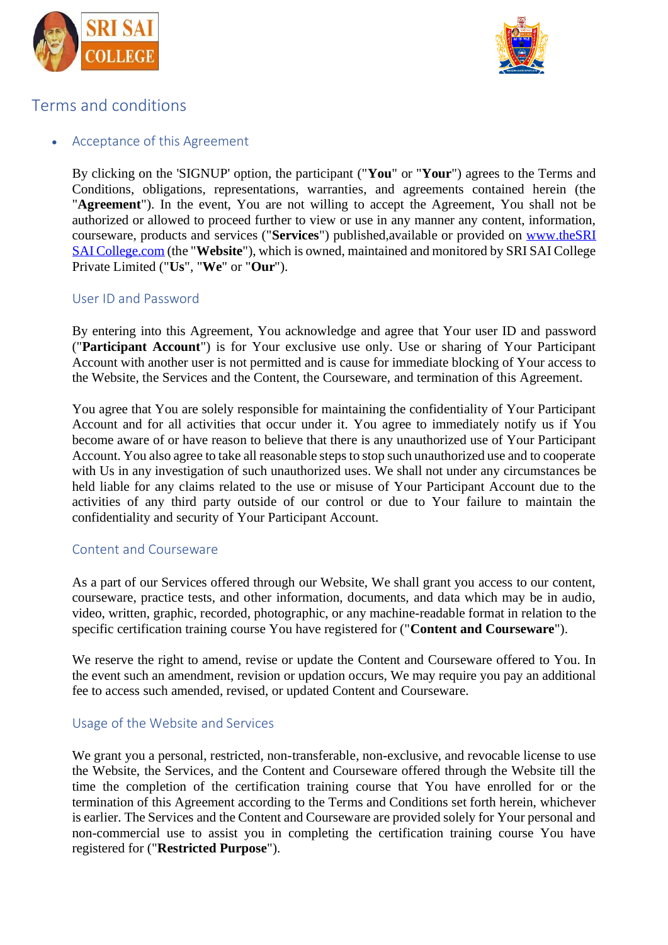



# Terms and conditions

# Acceptance of this Agreement

By clicking on the 'SIGNUP' option, the participant ("**You**" or "**Your**") agrees to the Terms and Conditions, obligations, representations, warranties, and agreements contained herein (the "**Agreement**"). In the event, You are not willing to accept the Agreement, You shall not be authorized or allowed to proceed further to view or use in any manner any content, information, courseware, products and services ("**Services**") published,available or provided on www.theSRI SAI College.com (the "**Website**"), which is owned, maintained and monitored by SRI SAI College Private Limited ("**Us**", "**We**" or "**Our**").

# User ID and Password

By entering into this Agreement, You acknowledge and agree that Your user ID and password ("**Participant Account**") is for Your exclusive use only. Use or sharing of Your Participant Account with another user is not permitted and is cause for immediate blocking of Your access to the Website, the Services and the Content, the Courseware, and termination of this Agreement.

You agree that You are solely responsible for maintaining the confidentiality of Your Participant Account and for all activities that occur under it. You agree to immediately notify us if You become aware of or have reason to believe that there is any unauthorized use of Your Participant Account. You also agree to take all reasonable steps to stop such unauthorized use and to cooperate with Us in any investigation of such unauthorized uses. We shall not under any circumstances be held liable for any claims related to the use or misuse of Your Participant Account due to the activities of any third party outside of our control or due to Your failure to maintain the confidentiality and security of Your Participant Account.

# Content and Courseware

As a part of our Services offered through our Website, We shall grant you access to our content, courseware, practice tests, and other information, documents, and data which may be in audio, video, written, graphic, recorded, photographic, or any machine-readable format in relation to the specific certification training course You have registered for ("**Content and Courseware**").

We reserve the right to amend, revise or update the Content and Courseware offered to You. In the event such an amendment, revision or updation occurs, We may require you pay an additional fee to access such amended, revised, or updated Content and Courseware.

# Usage of the Website and Services

We grant you a personal, restricted, non-transferable, non-exclusive, and revocable license to use the Website, the Services, and the Content and Courseware offered through the Website till the time the completion of the certification training course that You have enrolled for or the termination of this Agreement according to the Terms and Conditions set forth herein, whichever is earlier. The Services and the Content and Courseware are provided solely for Your personal and non-commercial use to assist you in completing the certification training course You have registered for ("**Restricted Purpose**").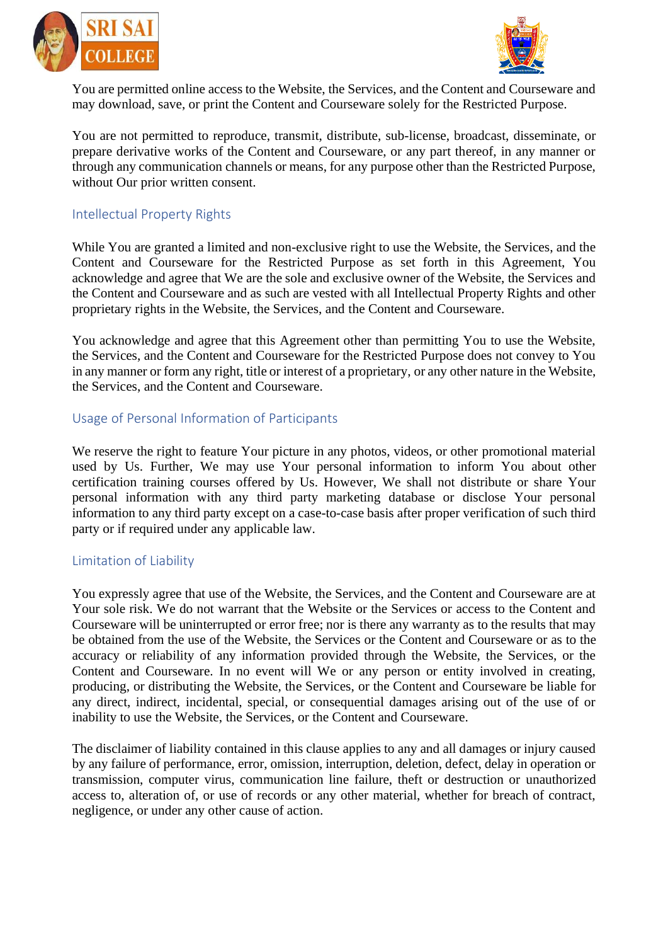



You are permitted online access to the Website, the Services, and the Content and Courseware and may download, save, or print the Content and Courseware solely for the Restricted Purpose.

You are not permitted to reproduce, transmit, distribute, sub-license, broadcast, disseminate, or prepare derivative works of the Content and Courseware, or any part thereof, in any manner or through any communication channels or means, for any purpose other than the Restricted Purpose, without Our prior written consent.

# Intellectual Property Rights

While You are granted a limited and non-exclusive right to use the Website, the Services, and the Content and Courseware for the Restricted Purpose as set forth in this Agreement, You acknowledge and agree that We are the sole and exclusive owner of the Website, the Services and the Content and Courseware and as such are vested with all Intellectual Property Rights and other proprietary rights in the Website, the Services, and the Content and Courseware.

You acknowledge and agree that this Agreement other than permitting You to use the Website, the Services, and the Content and Courseware for the Restricted Purpose does not convey to You in any manner or form any right, title or interest of a proprietary, or any other nature in the Website, the Services, and the Content and Courseware.

#### Usage of Personal Information of Participants

We reserve the right to feature Your picture in any photos, videos, or other promotional material used by Us. Further, We may use Your personal information to inform You about other certification training courses offered by Us. However, We shall not distribute or share Your personal information with any third party marketing database or disclose Your personal information to any third party except on a case-to-case basis after proper verification of such third party or if required under any applicable law.

#### Limitation of Liability

You expressly agree that use of the Website, the Services, and the Content and Courseware are at Your sole risk. We do not warrant that the Website or the Services or access to the Content and Courseware will be uninterrupted or error free; nor is there any warranty as to the results that may be obtained from the use of the Website, the Services or the Content and Courseware or as to the accuracy or reliability of any information provided through the Website, the Services, or the Content and Courseware. In no event will We or any person or entity involved in creating, producing, or distributing the Website, the Services, or the Content and Courseware be liable for any direct, indirect, incidental, special, or consequential damages arising out of the use of or inability to use the Website, the Services, or the Content and Courseware.

The disclaimer of liability contained in this clause applies to any and all damages or injury caused by any failure of performance, error, omission, interruption, deletion, defect, delay in operation or transmission, computer virus, communication line failure, theft or destruction or unauthorized access to, alteration of, or use of records or any other material, whether for breach of contract, negligence, or under any other cause of action.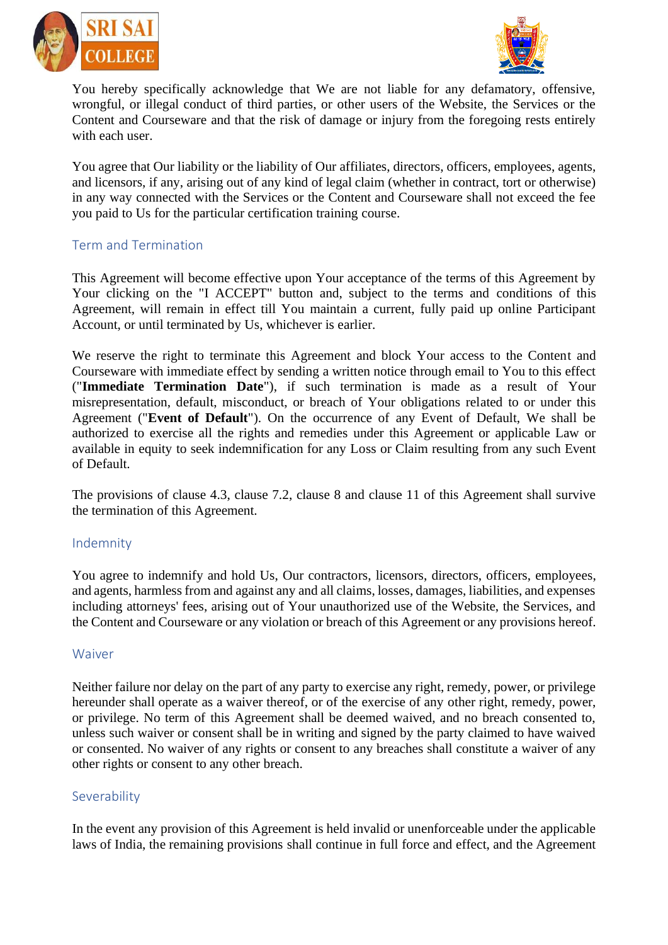



You hereby specifically acknowledge that We are not liable for any defamatory, offensive, wrongful, or illegal conduct of third parties, or other users of the Website, the Services or the Content and Courseware and that the risk of damage or injury from the foregoing rests entirely with each user.

You agree that Our liability or the liability of Our affiliates, directors, officers, employees, agents, and licensors, if any, arising out of any kind of legal claim (whether in contract, tort or otherwise) in any way connected with the Services or the Content and Courseware shall not exceed the fee you paid to Us for the particular certification training course.

# Term and Termination

This Agreement will become effective upon Your acceptance of the terms of this Agreement by Your clicking on the "I ACCEPT" button and, subject to the terms and conditions of this Agreement, will remain in effect till You maintain a current, fully paid up online Participant Account, or until terminated by Us, whichever is earlier.

We reserve the right to terminate this Agreement and block Your access to the Content and Courseware with immediate effect by sending a written notice through email to You to this effect ("**Immediate Termination Date**"), if such termination is made as a result of Your misrepresentation, default, misconduct, or breach of Your obligations related to or under this Agreement ("**Event of Default**"). On the occurrence of any Event of Default, We shall be authorized to exercise all the rights and remedies under this Agreement or applicable Law or available in equity to seek indemnification for any Loss or Claim resulting from any such Event of Default.

The provisions of clause 4.3, clause 7.2, clause 8 and clause 11 of this Agreement shall survive the termination of this Agreement.

# Indemnity

You agree to indemnify and hold Us, Our contractors, licensors, directors, officers, employees, and agents, harmless from and against any and all claims, losses, damages, liabilities, and expenses including attorneys' fees, arising out of Your unauthorized use of the Website, the Services, and the Content and Courseware or any violation or breach of this Agreement or any provisions hereof.

# Waiver

Neither failure nor delay on the part of any party to exercise any right, remedy, power, or privilege hereunder shall operate as a waiver thereof, or of the exercise of any other right, remedy, power, or privilege. No term of this Agreement shall be deemed waived, and no breach consented to, unless such waiver or consent shall be in writing and signed by the party claimed to have waived or consented. No waiver of any rights or consent to any breaches shall constitute a waiver of any other rights or consent to any other breach.

# Severability

In the event any provision of this Agreement is held invalid or unenforceable under the applicable laws of India, the remaining provisions shall continue in full force and effect, and the Agreement